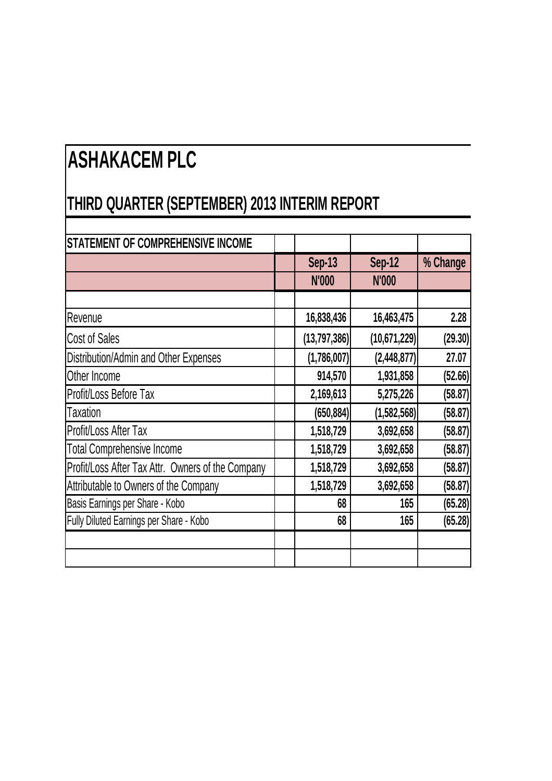## **ASHAKACEM PLC**

## **THIRD QUARTER (SEPTEMBER) 2013 INTERIM REPORT**

| <b>STATEMENT OF COMPREHENSIVE INCOME</b>          |                |                |          |
|---------------------------------------------------|----------------|----------------|----------|
|                                                   | <b>Sep-13</b>  | Sep-12         | % Change |
|                                                   | N'000          | N'000          |          |
|                                                   |                |                |          |
| Revenue                                           | 16,838,436     | 16,463,475     | 2.28     |
| Cost of Sales                                     | (13, 797, 386) | (10, 671, 229) | (29.30)  |
| Distribution/Admin and Other Expenses             | (1,786,007)    | (2,448,877)    | 27.07    |
| Other Income                                      | 914,570        | 1,931,858      | (52.66)  |
| Profit/Loss Before Tax                            | 2,169,613      | 5,275,226      | (58.87)  |
| Taxation                                          | (650, 884)     | (1, 582, 568)  | (58.87)  |
| Profit/Loss After Tax                             | 1,518,729      | 3,692,658      | (58.87)  |
| <b>Total Comprehensive Income</b>                 | 1,518,729      | 3,692,658      | (58.87)  |
| Profit/Loss After Tax Attr. Owners of the Company | 1,518,729      | 3,692,658      | (58.87)  |
| Attributable to Owners of the Company             | 1,518,729      | 3,692,658      | (58.87)  |
| Basis Earnings per Share - Kobo                   | 68             | 165            | (65.28)  |
| Fully Diluted Earnings per Share - Kobo           | 68             | 165            | (65.28)  |
|                                                   |                |                |          |
|                                                   |                |                |          |